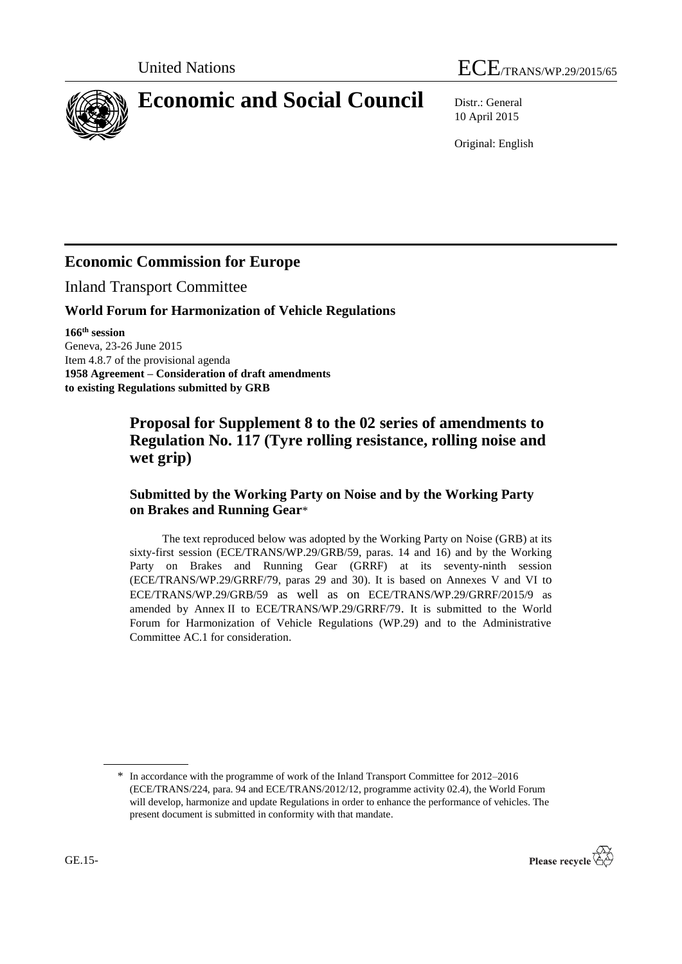



# **Economic and Social Council** Distr.: General

10 April 2015

Original: English

## **Economic Commission for Europe**

Inland Transport Committee

#### **World Forum for Harmonization of Vehicle Regulations**

**166 th session** Geneva, 23-26 June 2015 Item 4.8.7 of the provisional agenda **1958 Agreement – Consideration of draft amendments to existing Regulations submitted by GRB**

### **Proposal for Supplement 8 to the 02 series of amendments to Regulation No. 117 (Tyre rolling resistance, rolling noise and wet grip)**

#### **Submitted by the Working Party on Noise and by the Working Party on Brakes and Running Gear**\*

The text reproduced below was adopted by the Working Party on Noise (GRB) at its sixty-first session (ECE/TRANS/WP.29/GRB/59, paras. 14 and 16) and by the Working Party on Brakes and Running Gear (GRRF) at its seventy-ninth session (ECE/TRANS/WP.29/GRRF/79, paras 29 and 30). It is based on Annexes V and VI to ECE/TRANS/WP.29/GRB/59 as well as on ECE/TRANS/WP.29/GRRF/2015/9 as amended by Annex II to ECE/TRANS/WP.29/GRRF/79. It is submitted to the World Forum for Harmonization of Vehicle Regulations (WP.29) and to the Administrative Committee AC.1 for consideration.

<sup>\*</sup> In accordance with the programme of work of the Inland Transport Committee for 2012–2016 (ECE/TRANS/224, para. 94 and ECE/TRANS/2012/12, programme activity 02.4), the World Forum will develop, harmonize and update Regulations in order to enhance the performance of vehicles. The present document is submitted in conformity with that mandate.

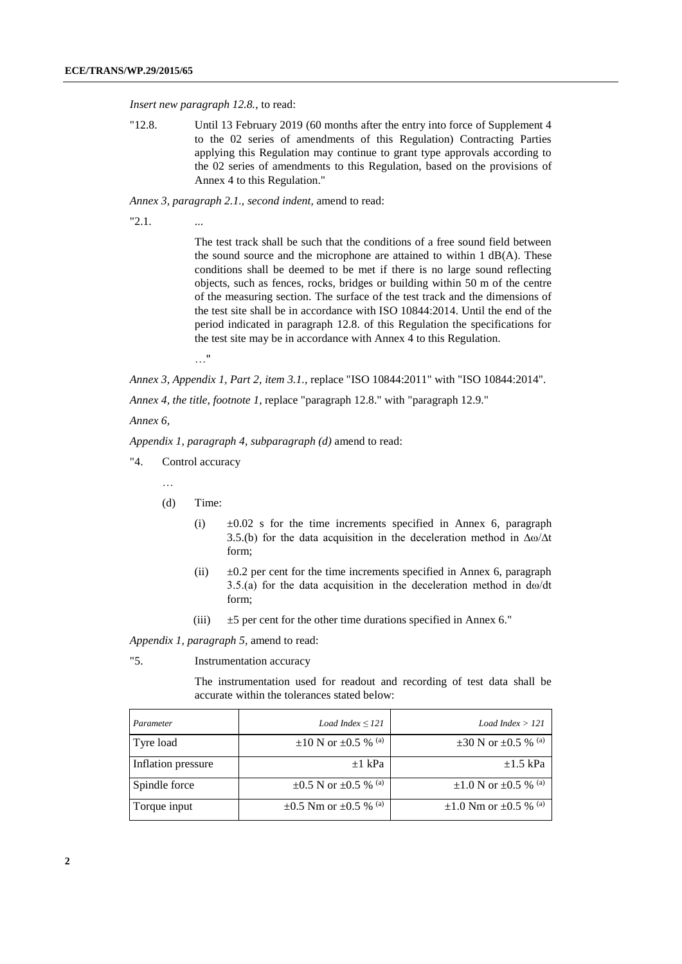*Insert new paragraph 12.8.*, to read:

"12.8. Until 13 February 2019 (60 months after the entry into force of Supplement 4 to the 02 series of amendments of this Regulation) Contracting Parties applying this Regulation may continue to grant type approvals according to the 02 series of amendments to this Regulation, based on the provisions of Annex 4 to this Regulation."

*Annex 3, paragraph 2.1., second indent,* amend to read:

 $"2.1.$ 

The test track shall be such that the conditions of a free sound field between the sound source and the microphone are attained to within 1 dB(A). These conditions shall be deemed to be met if there is no large sound reflecting objects, such as fences, rocks, bridges or building within 50 m of the centre of the measuring section. The surface of the test track and the dimensions of the test site shall be in accordance with ISO 10844:2014. Until the end of the period indicated in paragraph 12.8. of this Regulation the specifications for the test site may be in accordance with Annex 4 to this Regulation.

…"

*Annex 3, Appendix 1, Part 2, item 3.1.,* replace "ISO 10844:2011" with "ISO 10844:2014".

*Annex 4, the title, footnote 1,* replace "paragraph 12.8." with "paragraph 12.9."

*Annex 6,* 

*Appendix 1, paragraph 4*, *subparagraph (d)* amend to read:

- "4. Control accuracy
	- …
	- (d) Time:
		- (i)  $\pm 0.02$  s for the time increments specified in Annex 6, paragraph 3.5.(b) for the data acquisition in the deceleration method in ∆ω/∆t form;
		- (ii)  $\pm 0.2$  per cent for the time increments specified in Annex 6, paragraph 3.5.(a) for the data acquisition in the deceleration method in dω/dt form;
		- (iii)  $\pm 5$  per cent for the other time durations specified in Annex 6."

*Appendix 1, paragraph 5,* amend to read:

"5. Instrumentation accuracy

The instrumentation used for readout and recording of test data shall be accurate within the tolerances stated below:

| Parameter          | Load Index $\leq$ 121                      | Load Index $>$ 121                         |
|--------------------|--------------------------------------------|--------------------------------------------|
| Tyre load          | $\pm 10$ N or $\pm 0.5$ % <sup>(a)</sup>   | $\pm 30$ N or $\pm 0.5$ % <sup>(a)</sup>   |
| Inflation pressure | $\pm 1$ kPa                                | $\pm 1.5$ kPa                              |
| Spindle force      | $\pm 0.5$ N or $\pm 0.5$ % <sup>(a)</sup>  | $\pm 1.0$ N or $\pm 0.5$ % <sup>(a)</sup>  |
| Torque input       | $\pm 0.5$ Nm or $\pm 0.5$ % <sup>(a)</sup> | $\pm 1.0$ Nm or $\pm 0.5$ % <sup>(a)</sup> |